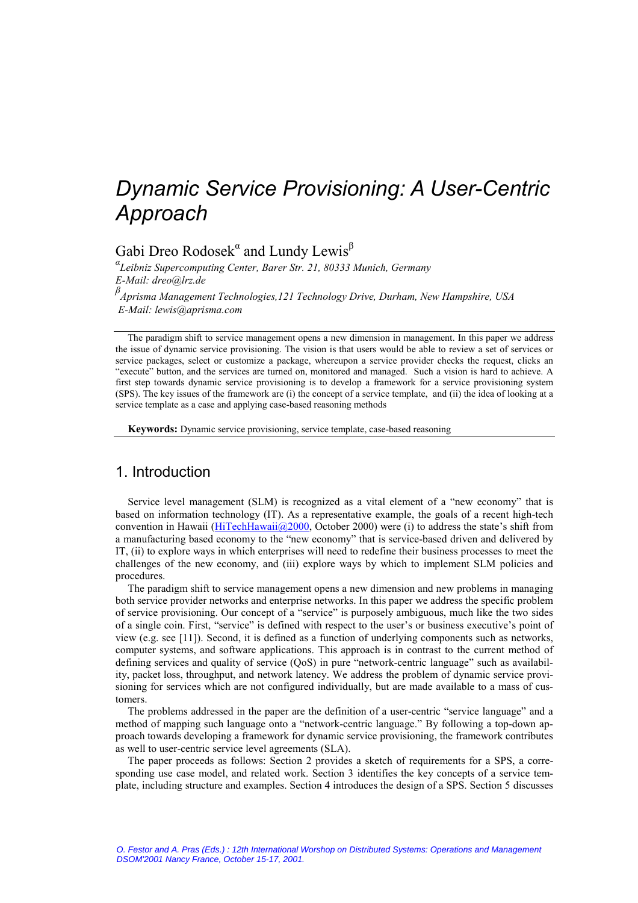# *Dynamic Service Provisioning: A User-Centric Approach*

Gabi Dreo Rodosek<sup>"</sup> and Lundy Lewis<sup>β</sup>

*α Leibniz Supercomputing Center, Barer Str. 21, 80333 Munich, Germany E-Mail: dreo@lrz.de*

*β Aprisma Management Technologies,121 Technology Drive, Durham, New Hampshire, USA E-Mail: lewis@aprisma.com*

The paradigm shift to service management opens a new dimension in management. In this paper we address the issue of dynamic service provisioning. The vision is that users would be able to review a set of services or service packages, select or customize a package, whereupon a service provider checks the request, clicks an "execute" button, and the services are turned on, monitored and managed. Such a vision is hard to achieve. A first step towards dynamic service provisioning is to develop a framework for a service provisioning system (SPS). The key issues of the framework are (i) the concept of a service template, and (ii) the idea of looking at a service template as a case and applying case-based reasoning methods

**Keywords:** Dynamic service provisioning, service template, case-based reasoning

# 1. Introduction

Service level management (SLM) is recognized as a vital element of a "new economy" that is based on information technology (IT). As a representative example, the goals of a recent high-tech convention in Hawaii (HiTechHawaii@2000, October 2000) were (i) to address the state's shift from a manufacturing based economy to the "new economy" that is service-based driven and delivered by IT, (ii) to explore ways in which enterprises will need to redefine their business processes to meet the challenges of the new economy, and (iii) explore ways by which to implement SLM policies and procedures.

The paradigm shift to service management opens a new dimension and new problems in managing both service provider networks and enterprise networks. In this paper we address the specific problem of service provisioning. Our concept of a "service" is purposely ambiguous, much like the two sides of a single coin. First, "service" is defined with respect to the user's or business executive's point of view (e.g. see [11]). Second, it is defined as a function of underlying components such as networks, computer systems, and software applications. This approach is in contrast to the current method of defining services and quality of service (QoS) in pure "network-centric language" such as availability, packet loss, throughput, and network latency. We address the problem of dynamic service provisioning for services which are not configured individually, but are made available to a mass of customers.

The problems addressed in the paper are the definition of a user-centric "service language" and a method of mapping such language onto a "network-centric language." By following a top-down approach towards developing a framework for dynamic service provisioning, the framework contributes as well to user-centric service level agreements (SLA).

The paper proceeds as follows: Section 2 provides a sketch of requirements for a SPS, a corresponding use case model, and related work. Section 3 identifies the key concepts of a service template, including structure and examples. Section 4 introduces the design of a SPS. Section 5 discusses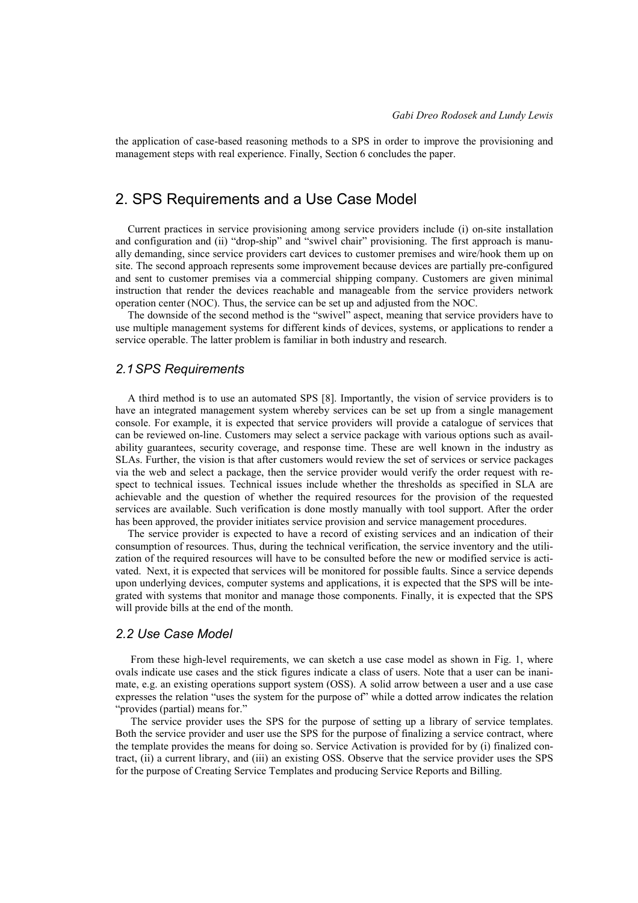the application of case-based reasoning methods to a SPS in order to improve the provisioning and management steps with real experience. Finally, Section 6 concludes the paper.

# 2. SPS Requirements and a Use Case Model

Current practices in service provisioning among service providers include (i) on-site installation and configuration and (ii) "drop-ship" and "swivel chair" provisioning. The first approach is manually demanding, since service providers cart devices to customer premises and wire/hook them up on site. The second approach represents some improvement because devices are partially pre-configured and sent to customer premises via a commercial shipping company. Customers are given minimal instruction that render the devices reachable and manageable from the service providers network operation center (NOC). Thus, the service can be set up and adjusted from the NOC.

The downside of the second method is the "swivel" aspect, meaning that service providers have to use multiple management systems for different kinds of devices, systems, or applications to render a service operable. The latter problem is familiar in both industry and research.

### *2.1 SPS Requirements*

A third method is to use an automated SPS [8]. Importantly, the vision of service providers is to have an integrated management system whereby services can be set up from a single management console. For example, it is expected that service providers will provide a catalogue of services that can be reviewed on-line. Customers may select a service package with various options such as availability guarantees, security coverage, and response time. These are well known in the industry as SLAs. Further, the vision is that after customers would review the set of services or service packages via the web and select a package, then the service provider would verify the order request with respect to technical issues. Technical issues include whether the thresholds as specified in SLA are achievable and the question of whether the required resources for the provision of the requested services are available. Such verification is done mostly manually with tool support. After the order has been approved, the provider initiates service provision and service management procedures.

The service provider is expected to have a record of existing services and an indication of their consumption of resources. Thus, during the technical verification, the service inventory and the utilization of the required resources will have to be consulted before the new or modified service is activated. Next, it is expected that services will be monitored for possible faults. Since a service depends upon underlying devices, computer systems and applications, it is expected that the SPS will be integrated with systems that monitor and manage those components. Finally, it is expected that the SPS will provide bills at the end of the month.

### *2.2 Use Case Model*

From these high-level requirements, we can sketch a use case model as shown in Fig. 1, where ovals indicate use cases and the stick figures indicate a class of users. Note that a user can be inanimate, e.g. an existing operations support system (OSS). A solid arrow between a user and a use case expresses the relation "uses the system for the purpose of" while a dotted arrow indicates the relation "provides (partial) means for."

The service provider uses the SPS for the purpose of setting up a library of service templates. Both the service provider and user use the SPS for the purpose of finalizing a service contract, where the template provides the means for doing so. Service Activation is provided for by (i) finalized contract, (ii) a current library, and (iii) an existing OSS. Observe that the service provider uses the SPS for the purpose of Creating Service Templates and producing Service Reports and Billing.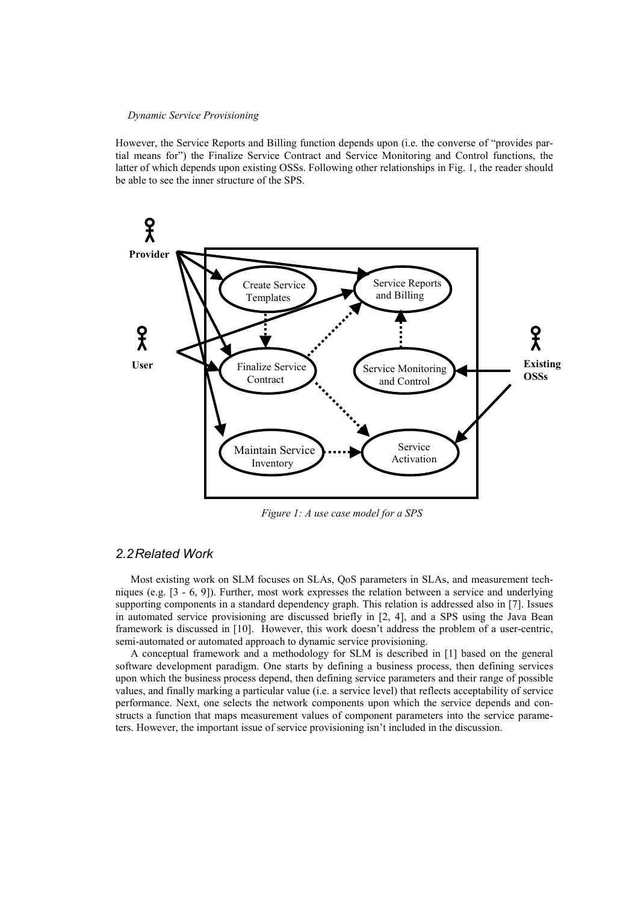However, the Service Reports and Billing function depends upon (i.e. the converse of "provides partial means for") the Finalize Service Contract and Service Monitoring and Control functions, the latter of which depends upon existing OSSs. Following other relationships in Fig. 1, the reader should be able to see the inner structure of the SPS.



*Figure 1: A use case model for a SPS*

### *2.2 Related Work*

Most existing work on SLM focuses on SLAs, QoS parameters in SLAs, and measurement techniques (e.g. [3 - 6, 9]). Further, most work expresses the relation between a service and underlying supporting components in a standard dependency graph. This relation is addressed also in [7]. Issues in automated service provisioning are discussed briefly in [2, 4], and a SPS using the Java Bean framework is discussed in [10]. However, this work doesn't address the problem of a user-centric, semi-automated or automated approach to dynamic service provisioning.

A conceptual framework and a methodology for SLM is described in [1] based on the general software development paradigm. One starts by defining a business process, then defining services upon which the business process depend, then defining service parameters and their range of possible values, and finally marking a particular value (i.e. a service level) that reflects acceptability of service performance. Next, one selects the network components upon which the service depends and constructs a function that maps measurement values of component parameters into the service parameters. However, the important issue of service provisioning isn't included in the discussion.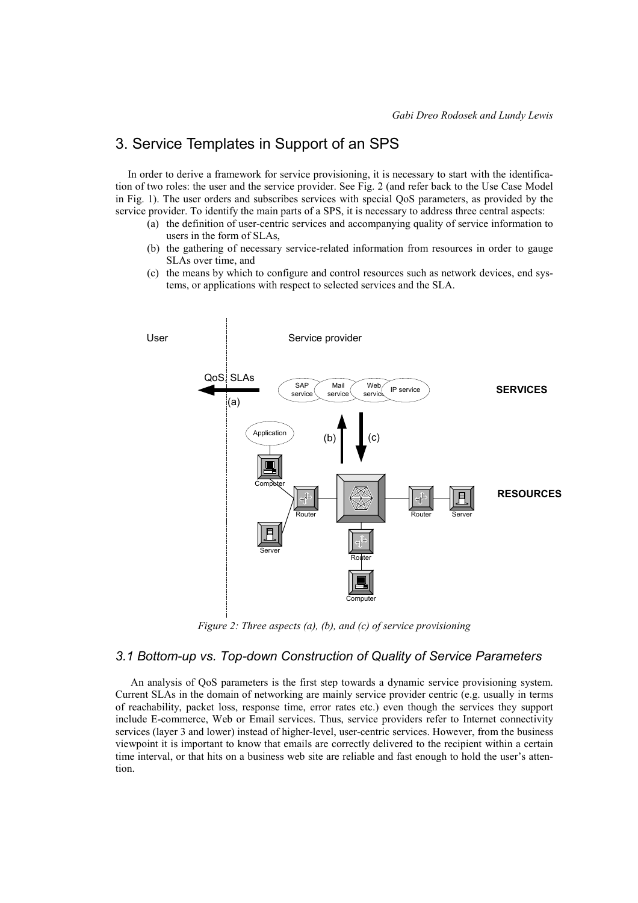# 3. Service Templates in Support of an SPS

In order to derive a framework for service provisioning, it is necessary to start with the identification of two roles: the user and the service provider. See Fig. 2 (and refer back to the Use Case Model in Fig. 1). The user orders and subscribes services with special QoS parameters, as provided by the service provider. To identify the main parts of a SPS, it is necessary to address three central aspects:

- (a) the definition of user-centric services and accompanying quality of service information to users in the form of SLAs,
- (b) the gathering of necessary service-related information from resources in order to gauge SLAs over time, and
- (c) the means by which to configure and control resources such as network devices, end systems, or applications with respect to selected services and the SLA.



*Figure 2: Three aspects (a), (b), and (c) of service provisioning*

# *3.1 Bottom-up vs. Top-down Construction of Quality of Service Parameters*

An analysis of QoS parameters is the first step towards a dynamic service provisioning system. Current SLAs in the domain of networking are mainly service provider centric (e.g. usually in terms of reachability, packet loss, response time, error rates etc.) even though the services they support include E-commerce, Web or Email services. Thus, service providers refer to Internet connectivity services (layer 3 and lower) instead of higher-level, user-centric services. However, from the business viewpoint it is important to know that emails are correctly delivered to the recipient within a certain time interval, or that hits on a business web site are reliable and fast enough to hold the user's attention.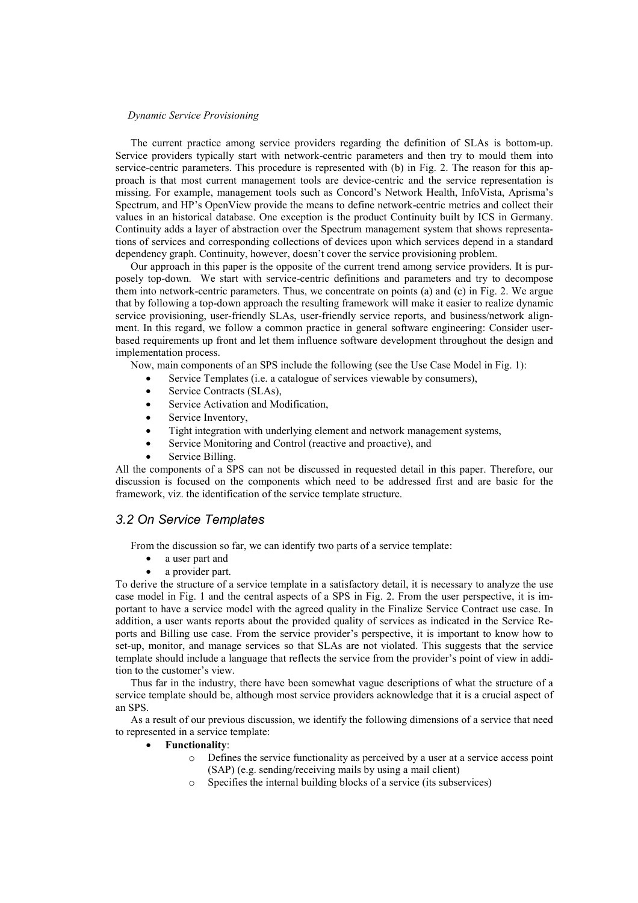The current practice among service providers regarding the definition of SLAs is bottom-up. Service providers typically start with network-centric parameters and then try to mould them into service-centric parameters. This procedure is represented with (b) in Fig. 2. The reason for this approach is that most current management tools are device-centric and the service representation is missing. For example, management tools such as Concord's Network Health, InfoVista, Aprisma's Spectrum, and HP's OpenView provide the means to define network-centric metrics and collect their values in an historical database. One exception is the product Continuity built by ICS in Germany. Continuity adds a layer of abstraction over the Spectrum management system that shows representations of services and corresponding collections of devices upon which services depend in a standard dependency graph. Continuity, however, doesn't cover the service provisioning problem.

Our approach in this paper is the opposite of the current trend among service providers. It is purposely top-down. We start with service-centric definitions and parameters and try to decompose them into network-centric parameters. Thus, we concentrate on points (a) and (c) in Fig. 2. We argue that by following a top-down approach the resulting framework will make it easier to realize dynamic service provisioning, user-friendly SLAs, user-friendly service reports, and business/network alignment. In this regard, we follow a common practice in general software engineering: Consider userbased requirements up front and let them influence software development throughout the design and implementation process.

Now, main components of an SPS include the following (see the Use Case Model in Fig. 1):

- Service Templates (i.e. a catalogue of services viewable by consumers),
- Service Contracts (SLAs),
- Service Activation and Modification,
- Service Inventory,
- Tight integration with underlying element and network management systems,
- Service Monitoring and Control (reactive and proactive), and
- Service Billing.

All the components of a SPS can not be discussed in requested detail in this paper. Therefore, our discussion is focused on the components which need to be addressed first and are basic for the framework, viz. the identification of the service template structure.

### *3.2 On Service Templates*

From the discussion so far, we can identify two parts of a service template:

- a user part and
- a provider part.

To derive the structure of a service template in a satisfactory detail, it is necessary to analyze the use case model in Fig. 1 and the central aspects of a SPS in Fig. 2. From the user perspective, it is important to have a service model with the agreed quality in the Finalize Service Contract use case. In addition, a user wants reports about the provided quality of services as indicated in the Service Reports and Billing use case. From the service provider's perspective, it is important to know how to set-up, monitor, and manage services so that SLAs are not violated. This suggests that the service template should include a language that reflects the service from the provider's point of view in addition to the customer's view.

Thus far in the industry, there have been somewhat vague descriptions of what the structure of a service template should be, although most service providers acknowledge that it is a crucial aspect of an SPS.

As a result of our previous discussion, we identify the following dimensions of a service that need to represented in a service template:

#### **Functionality**:

- o Defines the service functionality as perceived by a user at a service access point (SAP) (e.g. sending/receiving mails by using a mail client)
- Specifies the internal building blocks of a service (its subservices)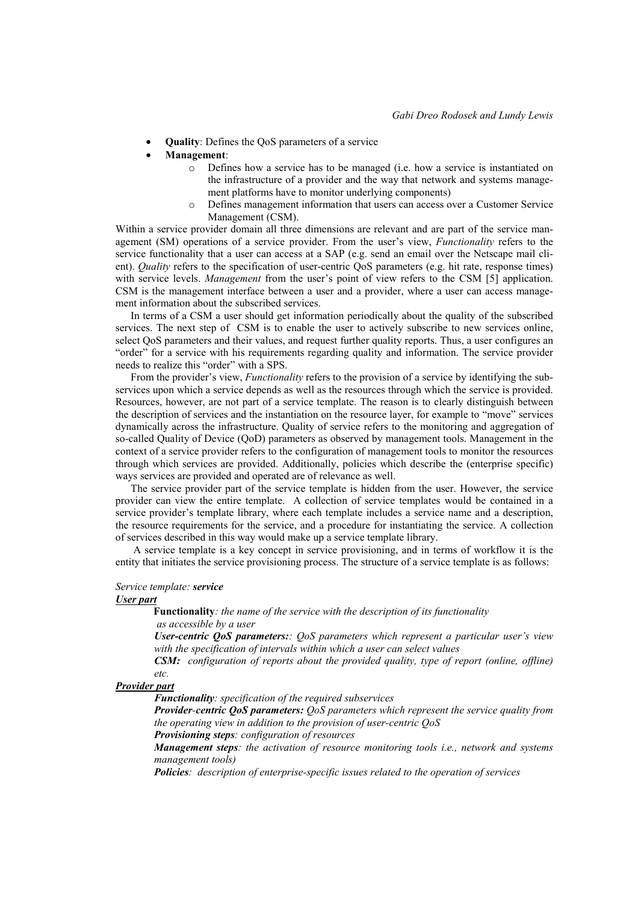- **Quality**: Defines the QoS parameters of a service
- **Management**:
	- o Defines how a service has to be managed (i.e. how a service is instantiated on the infrastructure of a provider and the way that network and systems management platforms have to monitor underlying components)
	- o Defines management information that users can access over a Customer Service Management (CSM).

Within a service provider domain all three dimensions are relevant and are part of the service management (SM) operations of a service provider. From the user's view, *Functionality* refers to the service functionality that a user can access at a SAP (e.g. send an email over the Netscape mail client). *Quality* refers to the specification of user-centric QoS parameters (e.g. hit rate, response times) with service levels. *Management* from the user's point of view refers to the CSM [5] application. CSM is the management interface between a user and a provider, where a user can access management information about the subscribed services.

In terms of a CSM a user should get information periodically about the quality of the subscribed services. The next step of CSM is to enable the user to actively subscribe to new services online, select QoS parameters and their values, and request further quality reports. Thus, a user configures an "order" for a service with his requirements regarding quality and information. The service provider needs to realize this "order" with a SPS.

From the provider's view, *Functionality* refers to the provision of a service by identifying the subservices upon which a service depends as well as the resources through which the service is provided. Resources, however, are not part of a service template. The reason is to clearly distinguish between the description of services and the instantiation on the resource layer, for example to "move" services dynamically across the infrastructure. Quality of service refers to the monitoring and aggregation of so-called Quality of Device (QoD) parameters as observed by management tools. Management in the context of a service provider refers to the configuration of management tools to monitor the resources through which services are provided. Additionally, policies which describe the (enterprise specific) ways services are provided and operated are of relevance as well.

The service provider part of the service template is hidden from the user. However, the service provider can view the entire template. A collection of service templates would be contained in a service provider's template library, where each template includes a service name and a description, the resource requirements for the service, and a procedure for instantiating the service. A collection of services described in this way would make up a service template library.

 A service template is a key concept in service provisioning, and in terms of workflow it is the entity that initiates the service provisioning process. The structure of a service template is as follows:

#### *Service template: service*

#### *User part*

**Functionality***: the name of the service with the description of its functionality as accessible by a user*

*User-centric QoS parameters:: QoS parameters which represent a particular user's view with the specification of intervals within which a user can select values*

*CSM: configuration of reports about the provided quality, type of report (online, offline) etc.*

#### *Provider part*

*Functionality: specification of the required subservices*

*Provider-centric QoS parameters: QoS parameters which represent the service quality from the operating view in addition to the provision of user-centric QoS*

*Provisioning steps: configuration of resources*

*Management steps: the activation of resource monitoring tools i.e., network and systems management tools)*

*Policies: description of enterprise-specific issues related to the operation of services*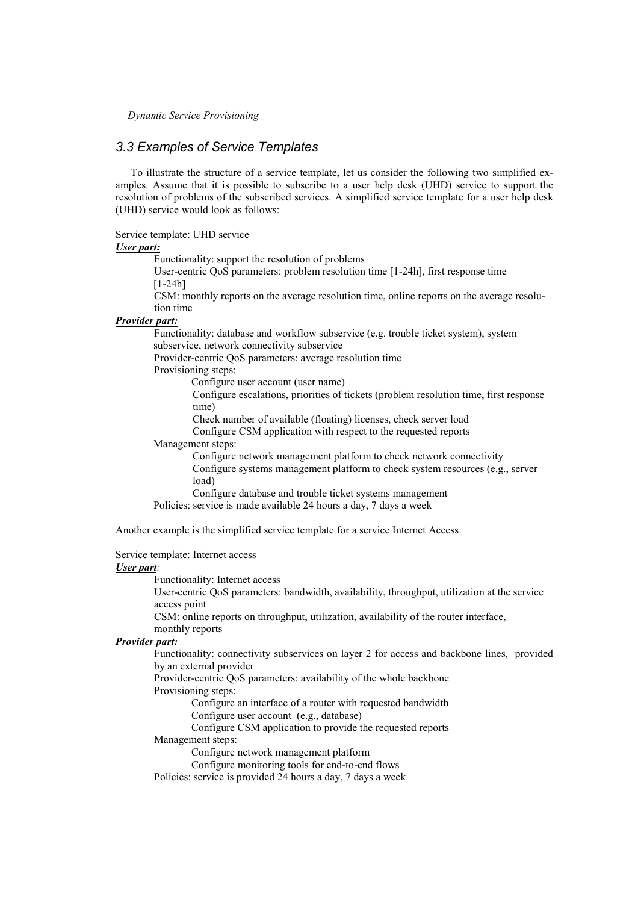## *3.3 Examples of Service Templates*

To illustrate the structure of a service template, let us consider the following two simplified examples. Assume that it is possible to subscribe to a user help desk (UHD) service to support the resolution of problems of the subscribed services. A simplified service template for a user help desk (UHD) service would look as follows:

Service template: UHD service

### *User part:*

Functionality: support the resolution of problems

User-centric QoS parameters: problem resolution time [1-24h], first response time [1-24h]

CSM: monthly reports on the average resolution time, online reports on the average resolution time

### *Provider part:*

Functionality: database and workflow subservice (e.g. trouble ticket system), system subservice, network connectivity subservice

Provider-centric QoS parameters: average resolution time

Provisioning steps:

Configure user account (user name)

Configure escalations, priorities of tickets (problem resolution time, first response time)

Check number of available (floating) licenses, check server load Configure CSM application with respect to the requested reports

Management steps:

Configure network management platform to check network connectivity Configure systems management platform to check system resources (e.g., server load)

Configure database and trouble ticket systems management

Policies: service is made available 24 hours a day, 7 days a week

Another example is the simplified service template for a service Internet Access.

Service template: Internet access

#### *User part:*

Functionality: Internet access

User-centric QoS parameters: bandwidth, availability, throughput, utilization at the service access point

CSM: online reports on throughput, utilization, availability of the router interface, monthly reports

# *Provider part:*

Functionality: connectivity subservices on layer 2 for access and backbone lines, provided by an external provider

Provider-centric QoS parameters: availability of the whole backbone Provisioning steps:

Configure an interface of a router with requested bandwidth

Configure user account (e.g., database)

Configure CSM application to provide the requested reports

Management steps:

Configure network management platform

Configure monitoring tools for end-to-end flows

Policies: service is provided 24 hours a day, 7 days a week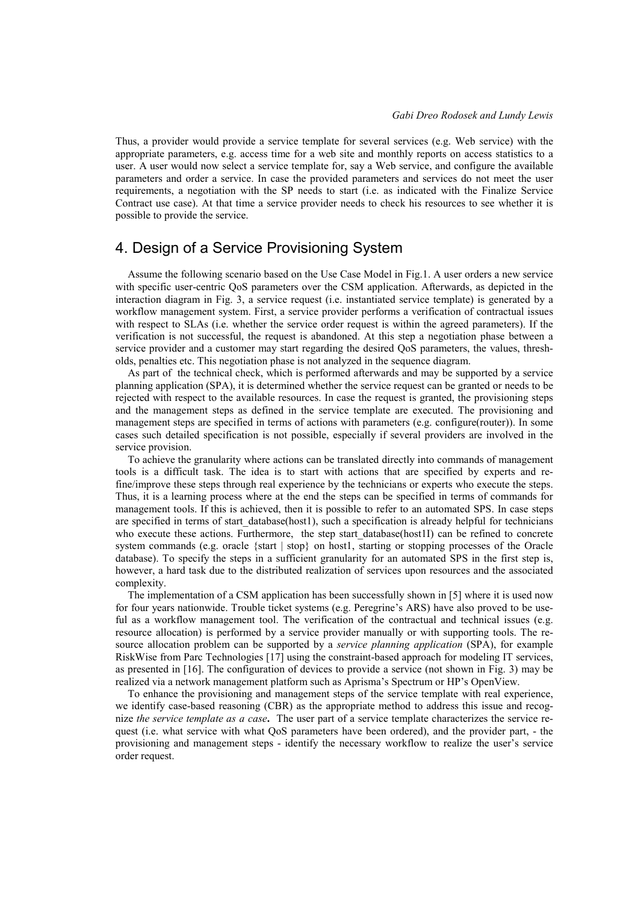Thus, a provider would provide a service template for several services (e.g. Web service) with the appropriate parameters, e.g. access time for a web site and monthly reports on access statistics to a user. A user would now select a service template for, say a Web service, and configure the available parameters and order a service. In case the provided parameters and services do not meet the user requirements, a negotiation with the SP needs to start (i.e. as indicated with the Finalize Service Contract use case). At that time a service provider needs to check his resources to see whether it is possible to provide the service.

# 4. Design of a Service Provisioning System

Assume the following scenario based on the Use Case Model in Fig.1. A user orders a new service with specific user-centric QoS parameters over the CSM application. Afterwards, as depicted in the interaction diagram in Fig. 3, a service request (i.e. instantiated service template) is generated by a workflow management system. First, a service provider performs a verification of contractual issues with respect to SLAs (i.e. whether the service order request is within the agreed parameters). If the verification is not successful, the request is abandoned. At this step a negotiation phase between a service provider and a customer may start regarding the desired QoS parameters, the values, thresholds, penalties etc. This negotiation phase is not analyzed in the sequence diagram.

As part of the technical check, which is performed afterwards and may be supported by a service planning application (SPA), it is determined whether the service request can be granted or needs to be rejected with respect to the available resources. In case the request is granted, the provisioning steps and the management steps as defined in the service template are executed. The provisioning and management steps are specified in terms of actions with parameters (e.g. configure(router)). In some cases such detailed specification is not possible, especially if several providers are involved in the service provision.

To achieve the granularity where actions can be translated directly into commands of management tools is a difficult task. The idea is to start with actions that are specified by experts and refine/improve these steps through real experience by the technicians or experts who execute the steps. Thus, it is a learning process where at the end the steps can be specified in terms of commands for management tools. If this is achieved, then it is possible to refer to an automated SPS. In case steps are specified in terms of start database(host1), such a specification is already helpful for technicians who execute these actions. Furthermore, the step start database(host1I) can be refined to concrete system commands (e.g. oracle {start | stop} on host1, starting or stopping processes of the Oracle database). To specify the steps in a sufficient granularity for an automated SPS in the first step is, however, a hard task due to the distributed realization of services upon resources and the associated complexity.

The implementation of a CSM application has been successfully shown in [5] where it is used now for four years nationwide. Trouble ticket systems (e.g. Peregrine's ARS) have also proved to be useful as a workflow management tool. The verification of the contractual and technical issues (e.g. resource allocation) is performed by a service provider manually or with supporting tools. The resource allocation problem can be supported by a *service planning application* (SPA), for example RiskWise from Parc Technologies [17] using the constraint-based approach for modeling IT services, as presented in [16]. The configuration of devices to provide a service (not shown in Fig. 3) may be realized via a network management platform such as Aprisma's Spectrum or HP's OpenView.

To enhance the provisioning and management steps of the service template with real experience, we identify case-based reasoning (CBR) as the appropriate method to address this issue and recognize *the service template as a case***.** The user part of a service template characterizes the service request (i.e. what service with what QoS parameters have been ordered), and the provider part, - the provisioning and management steps - identify the necessary workflow to realize the user's service order request.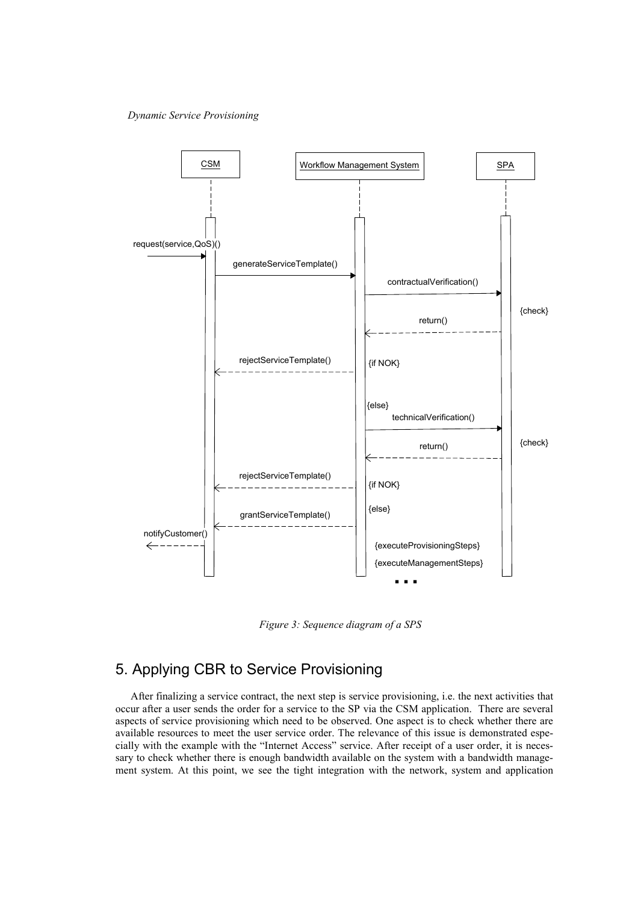

*Figure 3: Sequence diagram of a SPS*

# 5. Applying CBR to Service Provisioning

After finalizing a service contract, the next step is service provisioning, i.e. the next activities that occur after a user sends the order for a service to the SP via the CSM application. There are several aspects of service provisioning which need to be observed. One aspect is to check whether there are available resources to meet the user service order. The relevance of this issue is demonstrated especially with the example with the "Internet Access" service. After receipt of a user order, it is necessary to check whether there is enough bandwidth available on the system with a bandwidth management system. At this point, we see the tight integration with the network, system and application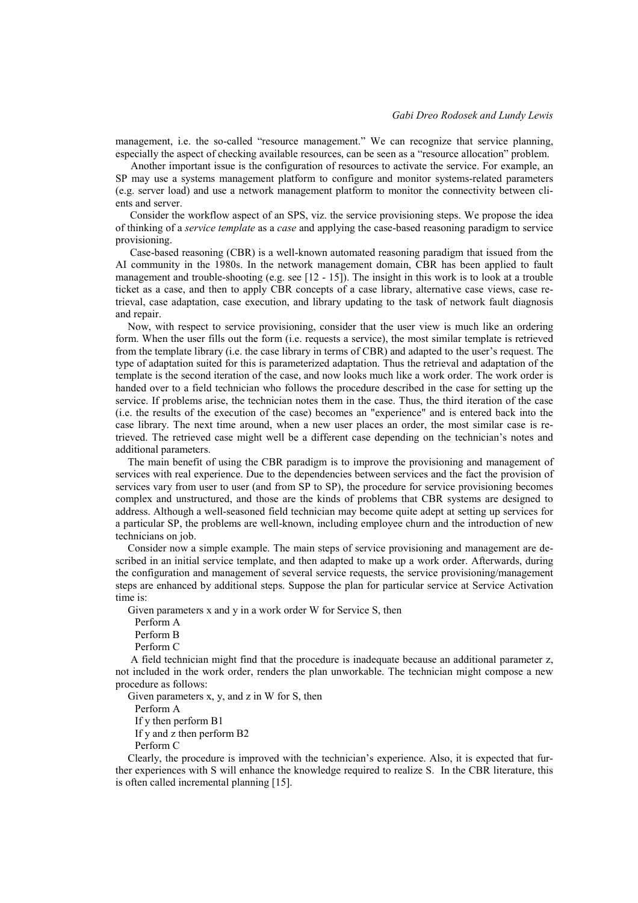management, i.e. the so-called "resource management." We can recognize that service planning, especially the aspect of checking available resources, can be seen as a "resource allocation" problem.

Another important issue is the configuration of resources to activate the service. For example, an SP may use a systems management platform to configure and monitor systems-related parameters (e.g. server load) and use a network management platform to monitor the connectivity between clients and server.

Consider the workflow aspect of an SPS, viz. the service provisioning steps. We propose the idea of thinking of a *service template* as a *case* and applying the case-based reasoning paradigm to service provisioning.

Case-based reasoning (CBR) is a well-known automated reasoning paradigm that issued from the AI community in the 1980s. In the network management domain, CBR has been applied to fault management and trouble-shooting (e.g. see  $[12 - 15]$ ). The insight in this work is to look at a trouble ticket as a case, and then to apply CBR concepts of a case library, alternative case views, case retrieval, case adaptation, case execution, and library updating to the task of network fault diagnosis and repair.

Now, with respect to service provisioning, consider that the user view is much like an ordering form. When the user fills out the form (i.e. requests a service), the most similar template is retrieved from the template library (i.e. the case library in terms of CBR) and adapted to the user's request. The type of adaptation suited for this is parameterized adaptation. Thus the retrieval and adaptation of the template is the second iteration of the case, and now looks much like a work order. The work order is handed over to a field technician who follows the procedure described in the case for setting up the service. If problems arise, the technician notes them in the case. Thus, the third iteration of the case (i.e. the results of the execution of the case) becomes an "experience" and is entered back into the case library. The next time around, when a new user places an order, the most similar case is retrieved. The retrieved case might well be a different case depending on the technician's notes and additional parameters.

The main benefit of using the CBR paradigm is to improve the provisioning and management of services with real experience. Due to the dependencies between services and the fact the provision of services vary from user to user (and from SP to SP), the procedure for service provisioning becomes complex and unstructured, and those are the kinds of problems that CBR systems are designed to address. Although a well-seasoned field technician may become quite adept at setting up services for a particular SP, the problems are well-known, including employee churn and the introduction of new technicians on job.

Consider now a simple example. The main steps of service provisioning and management are described in an initial service template, and then adapted to make up a work order. Afterwards, during the configuration and management of several service requests, the service provisioning/management steps are enhanced by additional steps. Suppose the plan for particular service at Service Activation time is:

Given parameters x and y in a work order W for Service S, then

Perform A

Perform B

Perform C

A field technician might find that the procedure is inadequate because an additional parameter z, not included in the work order, renders the plan unworkable. The technician might compose a new procedure as follows:

Given parameters  $x$ ,  $y$ , and  $z$  in W for S, then

Perform A

If y then perform B1

If y and z then perform B2

Perform C

Clearly, the procedure is improved with the technician's experience. Also, it is expected that further experiences with S will enhance the knowledge required to realize S. In the CBR literature, this is often called incremental planning [15].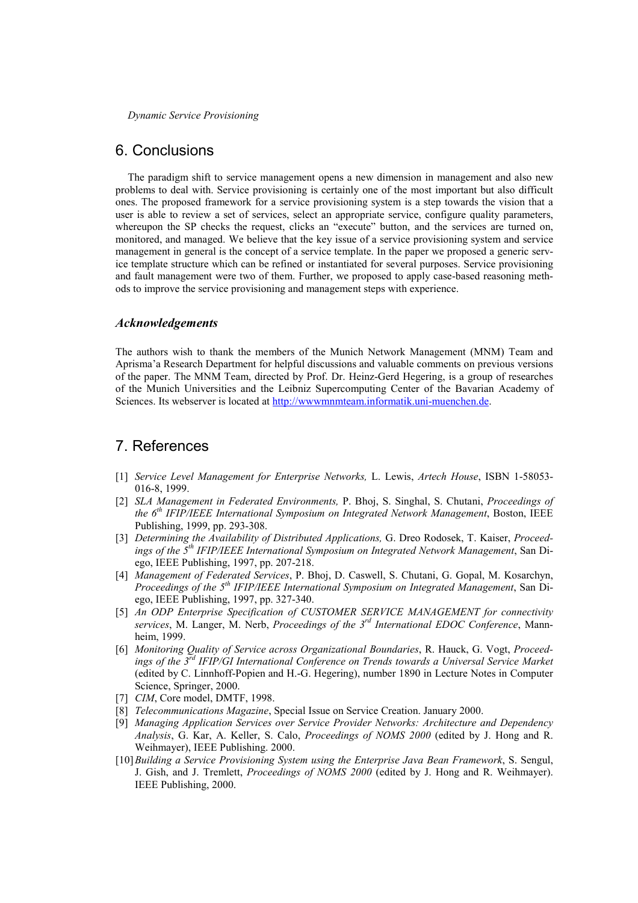# 6. Conclusions

The paradigm shift to service management opens a new dimension in management and also new problems to deal with. Service provisioning is certainly one of the most important but also difficult ones. The proposed framework for a service provisioning system is a step towards the vision that a user is able to review a set of services, select an appropriate service, configure quality parameters, whereupon the SP checks the request, clicks an "execute" button, and the services are turned on, monitored, and managed. We believe that the key issue of a service provisioning system and service management in general is the concept of a service template. In the paper we proposed a generic service template structure which can be refined or instantiated for several purposes. Service provisioning and fault management were two of them. Further, we proposed to apply case-based reasoning methods to improve the service provisioning and management steps with experience.

#### *Acknowledgements*

The authors wish to thank the members of the Munich Network Management (MNM) Team and Aprisma'a Research Department for helpful discussions and valuable comments on previous versions of the paper. The MNM Team, directed by Prof. Dr. Heinz-Gerd Hegering, is a group of researches of the Munich Universities and the Leibniz Supercomputing Center of the Bavarian Academy of Sciences. Its webserver is located at http://wwwmnmteam.informatik.uni-muenchen.de.

# 7. References

- [1] *Service Level Management for Enterprise Networks,* L. Lewis, *Artech House*, ISBN 1-58053- 016-8, 1999.
- [2] *SLA Management in Federated Environments,* P. Bhoj, S. Singhal, S. Chutani, *Proceedings of the 6th IFIP/IEEE International Symposium on Integrated Network Management*, Boston, IEEE Publishing, 1999, pp. 293-308.
- [3] *Determining the Availability of Distributed Applications,* G. Dreo Rodosek, T. Kaiser, *Proceedings of the 5th IFIP/IEEE International Symposium on Integrated Network Management*, San Diego, IEEE Publishing, 1997, pp. 207-218.
- [4] *Management of Federated Services*, P. Bhoj, D. Caswell, S. Chutani, G. Gopal, M. Kosarchyn, *Proceedings of the 5th IFIP/IEEE International Symposium on Integrated Management*, San Diego, IEEE Publishing, 1997, pp. 327-340.
- [5] *An ODP Enterprise Specification of CUSTOMER SERVICE MANAGEMENT for connectivity services*, M. Langer, M. Nerb, *Proceedings of the 3rd International EDOC Conference*, Mannheim, 1999.
- [6] *Monitoring Quality of Service across Organizational Boundaries*, R. Hauck, G. Vogt, *Proceedings of the 3rd IFIP/GI International Conference on Trends towards a Universal Service Market* (edited by C. Linnhoff-Popien and H.-G. Hegering), number 1890 in Lecture Notes in Computer Science, Springer, 2000.
- [7] *CIM*, Core model, DMTF, 1998.
- [8] *Telecommunications Magazine*, Special Issue on Service Creation. January 2000.
- [9] *Managing Application Services over Service Provider Networks: Architecture and Dependency Analysis*, G. Kar, A. Keller, S. Calo, *Proceedings of NOMS 2000* (edited by J. Hong and R. Weihmayer), IEEE Publishing. 2000.
- [10]*Building a Service Provisioning System using the Enterprise Java Bean Framework*, S. Sengul, J. Gish, and J. Tremlett, *Proceedings of NOMS 2000* (edited by J. Hong and R. Weihmayer). IEEE Publishing, 2000.